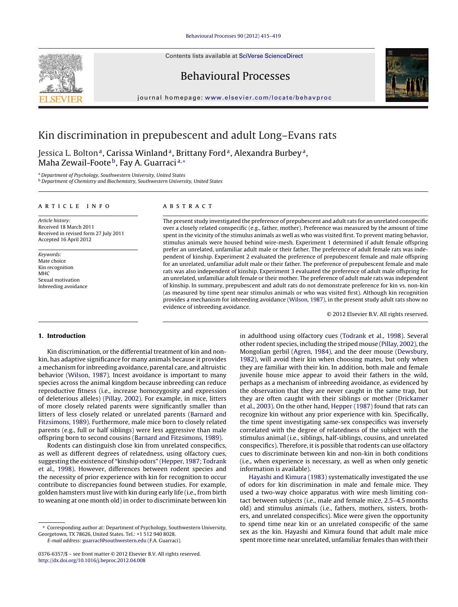Contents lists available at SciVerse [ScienceDirect](http://www.sciencedirect.com/science/journal/03766357)





# Behavioural Processes

journal homepage: [www.elsevier.com/locate/behavproc](http://www.elsevier.com/locate/behavproc)

# Kin discrimination in prepubescent and adult Long–Evans rats

Jessica L. Bolton<sup>a</sup>, Carissa Winland<sup>a</sup>, Brittany Ford<sup>a</sup>, Alexandra Burbey<sup>a</sup>, Maha Zewail-Foote<sup>b</sup>, Fay A. Guarraci<sup>a,</sup>\*

<sup>a</sup> Department of Psychology, Southwestern University, United States **b** Department of Chemistry and Biochemistry, Southwestern University, United States

#### a r t i c l e i n f o

Article history: Received 18 March 2011 Received in revised form 27 July 2011 Accepted 16 April 2012

Keywords: Mate choice Kin recognition MHC Sexual motivation Inbreeding avoidance

#### a b s t r a c t

The present study investigated the preference of prepubescent and adult rats for an unrelated conspecific over a closely related conspecific (e.g., father, mother). Preference was measured by the amount of time spent in the vicinity of the stimulus animals as well as who was visited first. To prevent mating behavior, stimulus animals were housed behind wire-mesh. Experiment 1 determined if adult female offspring prefer an unrelated, unfamiliar adult male or their father. The preference of adult female rats was independent of kinship. Experiment 2 evaluated the preference of prepubescent female and male offspring for an unrelated, unfamiliar adult male or their father. The preference of prepubescent female and male rats was also independent of kinship. Experiment 3 evaluated the preference of adult male offspring for an unrelated, unfamiliar adult female or their mother. The preference of adult male rats was independent of kinship. In summary, prepubescent and adult rats do not demonstrate preference for kin vs. non-kin (as measured by time spent near stimulus animals or who was visited first). Although kin recognition provides a mechanism for inbreeding avoidance [\(Wilson,](#page-4-0) [1987\),](#page-4-0) in the present study adult rats show no evidence of inbreeding avoidance.

© 2012 Elsevier B.V. All rights reserved.

# **1. Introduction**

Kin discrimination, or the differential treatment of kin and nonkin, has adaptive significance for many animals because it provides a mechanism for inbreeding avoidance, parental care, and altruistic behavior ([Wilson,](#page-4-0) [1987\).](#page-4-0) Incest avoidance is important to many species across the animal kingdom because inbreeding can reduce reproductive fitness (i.e., increase homozygosity and expression of deleterious alleles) [\(Pillay,](#page-4-0) [2002\).](#page-4-0) For example, in mice, litters of more closely related parents were significantly smaller than litters of less closely related or unrelated parents [\(Barnard](#page-4-0) [and](#page-4-0) [Fitzsimons,](#page-4-0) [1989\).](#page-4-0) Furthermore, male mice born to closely related parents (e.g., full or half siblings) were less aggressive than male offspring born to second cousins [\(Barnard](#page-4-0) [and](#page-4-0) [Fitzsimons,](#page-4-0) [1989\).](#page-4-0)

Rodents can distinguish close kin from unrelated conspecifics, as well as different degrees of relatedness, using olfactory cues, suggesting the existence of "kinship odors" ([Hepper,](#page-4-0) [1987;](#page-4-0) [Todrank](#page-4-0) et [al.,](#page-4-0) [1998\).](#page-4-0) However, differences between rodent species and the necessity of prior experience with kin for recognition to occur contribute to discrepancies found between studies. For example, golden hamsters must live with kin during early life (i.e., from birth to weaning at one month old) in order to discriminate between kin

E-mail address: [guarracf@southwestern.edu](mailto:guarracf@southwestern.edu) (F.A. Guarraci).

in adulthood using olfactory cues [\(Todrank](#page-4-0) et [al.,](#page-4-0) [1998\).](#page-4-0) Several other rodent species, including the striped mouse [\(Pillay,](#page-4-0) [2002\),](#page-4-0) the Mongolian gerbil [\(Agren,](#page-4-0) [1984\),](#page-4-0) and the deer mouse ([Dewsbury,](#page-4-0) [1982\),](#page-4-0) will avoid their kin when choosing mates, but only when they are familiar with their kin. In addition, both male and female juvenile house mice appear to avoid their fathers in the wild, perhaps as a mechanism of inbreeding avoidance, as evidenced by the observation that they are never caught in the same trap, but they are often caught with their siblings or mother ([Drickamer](#page-4-0) et [al.,](#page-4-0) [2003\).](#page-4-0) On the other hand, [Hepper](#page-4-0) [\(1987\)](#page-4-0) found that rats can recognize kin without any prior experience with kin. Specifically, the time spent investigating same-sex conspecifics was inversely correlated with the degree of relatedness of the subject with the stimulus animal (i.e., siblings, half-siblings, cousins, and unrelated conspecifics). Therefore, itis possible that rodents can use olfactory cues to discriminate between kin and non-kin in both conditions (i.e., when experience is necessary, as well as when only genetic information is available).

[Hayashi](#page-4-0) [and](#page-4-0) [Kimura](#page-4-0) [\(1983\)](#page-4-0) systematically investigated the use of odors for kin discrimination in male and female mice. They used a two-way choice apparatus with wire mesh limiting contact between subjects (i.e., male and female mice, 2.5–4.5 months old) and stimulus animals (i.e., fathers, mothers, sisters, brothers, and unrelated conspecifics). Mice were given the opportunity to spend time near kin or an unrelated conspecific of the same sex as the kin. Hayashi and Kimura found that adult male mice spent more time near unrelated, unfamiliar females than with their

<sup>∗</sup> Corresponding author at: Department of Psychology, Southwestern University, Georgetown, TX 78626, United States. Tel.: +1 512 940 8028.

<sup>0376-6357/\$</sup> – see front matter © 2012 Elsevier B.V. All rights reserved. [http://dx.doi.org/10.1016/j.beproc.2012.04.008](dx.doi.org/10.1016/j.beproc.2012.04.008)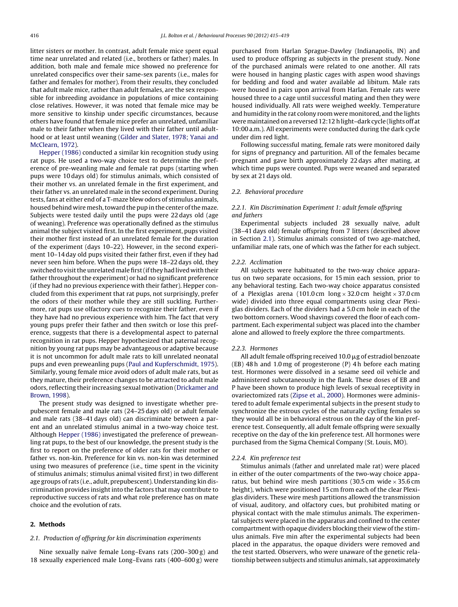litter sisters or mother. In contrast, adult female mice spent equal time near unrelated and related (i.e., brothers or father) males. In addition, both male and female mice showed no preference for unrelated conspecifics over their same-sex parents (i.e., males for father and females for mother). From their results, they concluded that adult male mice, rather than adult females, are the sex responsible for inbreeding avoidance in populations of mice containing close relatives. However, it was noted that female mice may be more sensitive to kinship under specific circumstances, because others have found that female mice prefer an unrelated, unfamiliar male to their father when they lived with their father until adulthood or at least until weaning ([Gilder](#page-4-0) [and](#page-4-0) [Slater,](#page-4-0) [1978;](#page-4-0) [Yanai](#page-4-0) [and](#page-4-0) [McClearn,](#page-4-0) [1972\).](#page-4-0)

[Hepper](#page-4-0) [\(1986\)](#page-4-0) conducted a similar kin recognition study using rat pups. He used a two-way choice test to determine the preference of pre-weanling male and female rat pups (starting when pups were 10 days old) for stimulus animals, which consisted of their mother vs. an unrelated female in the first experiment, and their father vs. an unrelated male in the second experiment. During tests, fans at either end of a T-maze blew odors of stimulus animals, housed behind wire mesh, toward the pup in the center of the maze. Subjects were tested daily until the pups were 22 days old (age of weaning). Preference was operationally defined as the stimulus animal the subject visited first. In the first experiment, pups visited their mother first instead of an unrelated female for the duration of the experiment (days 10–22). However, in the second experiment 10–14 day old pups visited their father first, even if they had never seen him before. When the pups were 18–22 days old, they switched to visit the unrelated male first (if they had lived with their father throughout the experiment) or had no significant preference (if they had no previous experience with their father). Hepper concluded from this experiment that rat pups, not surprisingly, prefer the odors of their mother while they are still suckling. Furthermore, rat pups use olfactory cues to recognize their father, even if they have had no previous experience with him. The fact that very young pups prefer their father and then switch or lose this preference, suggests that there is a developmental aspect to paternal recognition in rat pups. Hepper hypothesized that paternal recognition by young rat pups may be advantageous or adaptive because it is not uncommon for adult male rats to kill unrelated neonatal pups and even preweanling pups [\(Paul](#page-4-0) [and](#page-4-0) [Kupferschmidt,](#page-4-0) [1975\).](#page-4-0) Similarly, young female mice avoid odors of adult male rats, but as they mature, their preference changes to be attracted to adult male odors, reflecting their increasing sexual motivation ([Drickamer](#page-4-0) [and](#page-4-0) [Brown,](#page-4-0) [1998\).](#page-4-0)

The present study was designed to investigate whether prepubescent female and male rats (24–25 days old) or adult female and male rats (38–41 days old) can discriminate between a parent and an unrelated stimulus animal in a two-way choice test. Although [Hepper](#page-4-0) [\(1986\)](#page-4-0) investigated the preference of preweanling rat pups, to the best of our knowledge, the present study is the first to report on the preference of older rats for their mother or father vs. non-kin. Preference for kin vs. non-kin was determined using two measures of preference (i.e., time spent in the vicinity of stimulus animals; stimulus animal visited first) in two different age groups of rats (i.e., adult, prepubescent). Understanding kin discrimination provides insight into the factors that may contribute to reproductive success of rats and what role preference has on mate choice and the evolution of rats.

## **2. Methods**

#### 2.1. Production of offspring for kin discrimination experiments

Nine sexually naïve female Long–Evans rats (200–300 g) and 18 sexually experienced male Long–Evans rats (400–600 g) were

purchased from Harlan Sprague-Dawley (Indianapolis, IN) and used to produce offspring as subjects in the present study. None of the purchased animals were related to one another. All rats were housed in hanging plastic cages with aspen wood shavings for bedding and food and water available ad libitum. Male rats were housed in pairs upon arrival from Harlan. Female rats were housed three to a cage until successful mating and then they were housed individually. All rats were weighed weekly. Temperature and humidity in the rat colony room were monitored, and the lights were maintained on a reversed 12:12 h light-dark cycle (lights off at 10:00 a.m.). All experiments were conducted during the dark cycle under dim red light.

Following successful mating, female rats were monitored daily for signs of pregnancy and parturition. All of the females became pregnant and gave birth approximately 22 days after mating, at which time pups were counted. Pups were weaned and separated by sex at 21 days old.

#### 2.2. Behavioral procedure

# 2.2.1. Kin Discrimination Experiment 1: adult female offspring and fathers

Experimental subjects included 28 sexually naïve, adult (38–41 days old) female offspring from 7 litters (described above in Section 2.1). Stimulus animals consisted of two age-matched, unfamiliar male rats, one of which was the father for each subject.

#### 2.2.2. Acclimation

All subjects were habituated to the two-way choice apparatus on two separate occasions, for 15 min each session, prior to any behavioral testing. Each two-way choice apparatus consisted of a Plexiglas arena (101.0 cm  $\log x$  32.0 cm height  $\times$  37.0 cm wide) divided into three equal compartments using clear Plexiglas dividers. Each of the dividers had a 5.0 cm hole in each of the two bottom corners. Wood shavings covered the floor of each compartment. Each experimental subject was placed into the chamber alone and allowed to freely explore the three compartments.

#### 2.2.3. Hormones

All adult female offspring received 10.0  $\mu$ g of estradiol benzoate (EB) 48 h and 1.0 mg of progesterone (P) 4 h before each mating test. Hormones were dissolved in a sesame seed oil vehicle and administered subcutaneously in the flank. These doses of EB and P have been shown to produce high levels of sexual receptivity in ovariectomized rats ([Zipse](#page-4-0) et [al.,](#page-4-0) [2000\).](#page-4-0) Hormones were administered to adult female experimental subjects in the present study to synchronize the estrous cycles of the naturally cycling females so they would all be in behavioral estrous on the day of the kin preference test. Consequently, all adult female offspring were sexually receptive on the day of the kin preference test. All hormones were purchased from the Sigma Chemical Company (St. Louis, MO).

#### 2.2.4. Kin preference test

Stimulus animals (father and unrelated male rat) were placed in either of the outer compartments of the two-way choice apparatus, but behind wire mesh partitions (30.5 cm wide  $\times$  35.6 cm height), which were positioned 15 cm from each of the clear Plexiglas dividers. These wire mesh partitions allowed the transmission of visual, auditory, and olfactory cues, but prohibited mating or physical contact with the male stimulus animals. The experimental subjects were placed in the apparatus and confined to the center compartment with opaque dividers blocking their view ofthe stimulus animals. Five min after the experimental subjects had been placed in the apparatus, the opaque dividers were removed and the test started. Observers, who were unaware of the genetic relationship between subjects and stimulus animals, sat approximately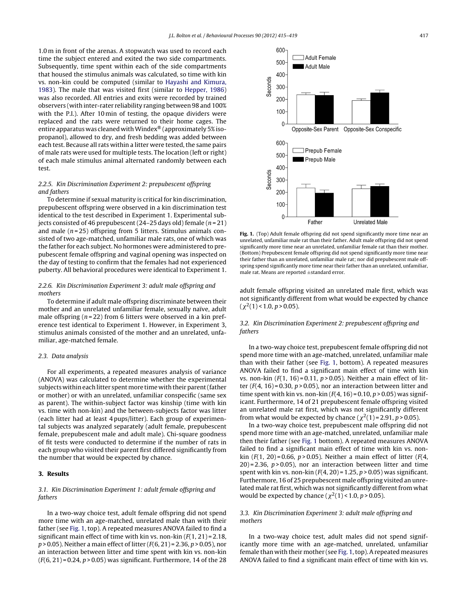1.0 m in front of the arenas. A stopwatch was used to record each time the subject entered and exited the two side compartments. Subsequently, time spent within each of the side compartments that housed the stimulus animals was calculated, so time with kin vs. non-kin could be computed (similar to [Hayashi](#page-4-0) [and](#page-4-0) [Kimura,](#page-4-0) [1983\).](#page-4-0) The male that was visited first (similar to [Hepper,](#page-4-0) [1986\)](#page-4-0) was also recorded. All entries and exits were recorded by trained observers (with inter-rater reliability ranging between 98 and 100% with the P.I.). After 10 min of testing, the opaque dividers were replaced and the rats were returned to their home cages. The entire apparatus was cleaned with Windex® (approximately 5% isopropanol), allowed to dry, and fresh bedding was added between each test. Because all rats within a litter were tested, the same pairs of male rats were used for multiple tests. The location (left or right) of each male stimulus animal alternated randomly between each test.

## 2.2.5. Kin Discrimination Experiment 2: prepubescent offspring and fathers

To determine if sexual maturity is critical for kin discrimination, prepubescent offspring were observed in a kin discrimination test identical to the test described in Experiment 1. Experimental subjects consisted of 46 prepubescent (24–25 days old) female ( $n = 21$ ) and male  $(n=25)$  offspring from 5 litters. Stimulus animals consisted of two age-matched, unfamiliar male rats, one of which was the father for each subject. No hormones were administered to prepubescent female offspring and vaginal opening was inspected on the day of testing to confirm that the females had not experienced puberty. All behavioral procedures were identical to Experiment 1.

## 2.2.6. Kin Discrimination Experiment 3: adult male offspring and mothers

To determine if adult male offspring discriminate between their mother and an unrelated unfamiliar female, sexually naïve, adult male offspring ( $n = 22$ ) from 6 litters were observed in a kin preference test identical to Experiment 1. However, in Experiment 3, stimulus animals consisted of the mother and an unrelated, unfamiliar, age-matched female.

#### 2.3. Data analysis

For all experiments, a repeated measures analysis of variance (ANOVA) was calculated to determine whether the experimental subjects within each litter spentmore time with their parent(father or mother) or with an unrelated, unfamiliar conspecific (same sex as parent). The within-subject factor was kinship (time with kin vs. time with non-kin) and the between-subjects factor was litter (each litter had at least 4 pups/litter). Each group of experimental subjects was analyzed separately (adult female, prepubescent female, prepubescent male and adult male). Chi-square goodness of fit tests were conducted to determine if the number of rats in each group who visited their parent first differed significantly from the number that would be expected by chance.

## **3. Results**

# 3.1. Kin Discrimination Experiment 1: adult female offspring and fathers

In a two-way choice test, adult female offspring did not spend more time with an age-matched, unrelated male than with their father (see Fig. 1, top). A repeated measures ANOVA failed to find a significant main effect of time with kin vs. non-kin  $(F(1, 21) = 2.18$ ,  $p > 0.05$ ). Neither a main effect of litter ( $F(6, 21) = 2.36$ ,  $p > 0.05$ ), nor an interaction between litter and time spent with kin vs. non-kin  $(F(6, 21) = 0.24, p > 0.05)$  was significant. Furthermore, 14 of the 28



**Fig. 1.** (Top) Adult female offspring did not spend significantly more time near an unrelated, unfamiliar male rat than their father. Adult male offspring did not spend significantly more time near an unrelated, unfamiliar female rat than their mother. (Bottom) Prepubescent female offspring did not spend significantly more time near their father than an unrelated, unfamiliar male rat; nor did prepubescent male offspring spend significantly more time near their father than an unrelated, unfamiliar, male rat. Means are reported ±standard error.

adult female offspring visited an unrelated male first, which was not significantly different from what would be expected by chance  $(\chi^2(1)$  < 1.0, p > 0.05).

## 3.2. Kin Discrimination Experiment 2: prepubescent offspring and fathers

In a two-way choice test, prepubescent female offspring did not spend more time with an age-matched, unrelated, unfamiliar male than with their father (see Fig. 1, bottom). A repeated measures ANOVA failed to find a significant main effect of time with kin vs. non-kin  $(F(1, 16) = 0.11, p > 0.05)$ . Neither a main effect of litter ( $F(4, 16) = 0.30$ ,  $p > 0.05$ ), nor an interaction between litter and time spent with kin vs. non-kin  $(F(4, 16) = 0.10, p > 0.05)$  was significant. Furthermore, 14 of 21 prepubescent female offspring visited an unrelated male rat first, which was not significantly different from what would be expected by chance  $(\chi^2(1) = 2.91, p > 0.05)$ .

In a two-way choice test, prepubescent male offspring did not spend more time with an age-matched, unrelated, unfamiliar male then their father (see Fig. 1 bottom). A repeated measures ANOVA failed to find a significant main effect of time with kin vs. nonkin ( $F(1, 20) = 0.66$ ,  $p > 0.05$ ). Neither a main effect of litter ( $F(4, 4)$ )  $20$ ) = 2.36,  $p > 0.05$ ), nor an interaction between litter and time spent with kin vs. non-kin  $(F(4, 20) = 1.25, p > 0.05)$  was significant. Furthermore, 16 of 25 prepubescent male offspring visited an unrelated male rat first, which was not significantly different from what would be expected by chance  $(\chi^2(1) < 1.0, p > 0.05)$ .

## 3.3. Kin Discrimination Experiment 3: adult male offspring and mothers

In a two-way choice test, adult males did not spend significantly more time with an age-matched, unrelated, unfamiliar female than with their mother (see Fig. 1,top). A repeated measures ANOVA failed to find a significant main effect of time with kin vs.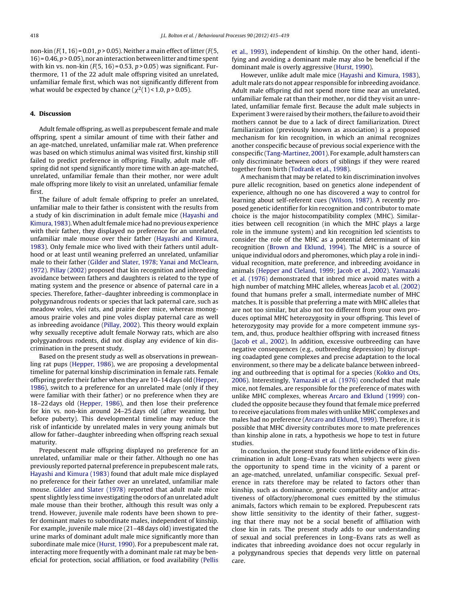non-kin  $(F(1, 16) = 0.01, p > 0.05)$ . Neither a main effect of litter  $(F(5,$  $16$ ) = 0.46,  $p > 0.05$ ), nor an interaction between litter and time spent with kin vs. non-kin  $(F(5, 16) = 0.53, p > 0.05)$  was significant. Furthermore, 11 of the 22 adult male offspring visited an unrelated, unfamiliar female first, which was not significantly different from what would be expected by chance ( $\chi^2(1)$  < 1.0, p > 0.05).

#### **4. Discussion**

Adult female offspring, as well as prepubescent female and male offspring, spent a similar amount of time with their father and an age-matched, unrelated, unfamiliar male rat. When preference was based on which stimulus animal was visited first, kinship still failed to predict preference in offspring. Finally, adult male offspring did not spend significantly more time with an age-matched, unrelated, unfamiliar female than their mother, nor were adult male offspring more likely to visit an unrelated, unfamiliar female first.

The failure of adult female offspring to prefer an unrelated, unfamiliar male to their father is consistent with the results from a study of kin discrimination in adult female mice ([Hayashi](#page-4-0) [and](#page-4-0) [Kimura,](#page-4-0) [1983\).](#page-4-0) When adult female mice had no previous experience with their father, they displayed no preference for an unrelated, unfamiliar male mouse over their father ([Hayashi](#page-4-0) [and](#page-4-0) [Kimura,](#page-4-0) [1983\).](#page-4-0) Only female mice who lived with their fathers until adulthood or at least until weaning preferred an unrelated, unfamiliar male to their father [\(Gilder](#page-4-0) [and](#page-4-0) [Slater,](#page-4-0) [1978;](#page-4-0) [Yanai](#page-4-0) [and](#page-4-0) [McClearn,](#page-4-0) [1972\).](#page-4-0) [Pillay](#page-4-0) [\(2002\)](#page-4-0) proposed that kin recognition and inbreeding avoidance between fathers and daughters is related to the type of mating system and the presence or absence of paternal care in a species. Therefore, father–daughter inbreeding is commonplace in polygynandrous rodents or species that lack paternal care, such as meadow voles, vlei rats, and prairie deer mice, whereas monogamous prairie voles and pine voles display paternal care as well as inbreeding avoidance [\(Pillay,](#page-4-0) [2002\).](#page-4-0) This theory would explain why sexually receptive adult female Norway rats, which are also polygyandrous rodents, did not display any evidence of kin discrimination in the present study.

Based on the present study as well as observations in preweanling rat pups ([Hepper,](#page-4-0) [1986\),](#page-4-0) we are proposing a developmental timeline for paternal kinship discrimination in female rats. Female offspring prefer their father when they are 10–14 days old [\(Hepper,](#page-4-0) [1986\),](#page-4-0) switch to a preference for an unrelated male (only if they were familiar with their father) or no preference when they are 18–22 days old [\(Hepper,](#page-4-0) [1986\),](#page-4-0) and then lose their preference for kin vs. non-kin around 24–25 days old (after weaning, but before puberty). This developmental timeline may reduce the risk of infanticide by unrelated males in very young animals but allow for father–daughter inbreeding when offspring reach sexual maturity.

Prepubescent male offspring displayed no preference for an unrelated, unfamiliar male or their father. Although no one has previously reported paternal preference in prepubescent male rats, [Hayashi](#page-4-0) [and](#page-4-0) [Kimura](#page-4-0) [\(1983\)](#page-4-0) found that adult male mice displayed no preference for their father over an unrelated, unfamiliar male mouse. [Gilder](#page-4-0) [and](#page-4-0) [Slater](#page-4-0) [\(1978\)](#page-4-0) reported that adult male mice spent slightly less time investigating the odors of an unrelated adult male mouse than their brother, although this result was only a trend. However, juvenile male rodents have been shown to prefer dominant males to subordinate males, independent of kinship. For example, juvenile male mice (21–48 days old) investigated the urine marks of dominant adult male mice significantly more than subordinate male mice [\(Hurst,](#page-4-0) [1990\).](#page-4-0) For a prepubescent male rat, interacting more frequently with a dominant male rat may be beneficial for protection, social affiliation, or food availability [\(Pellis](#page-4-0)

et [al.,](#page-4-0) [1993\),](#page-4-0) independent of kinship. On the other hand, identifying and avoiding a dominant male may also be beneficial if the dominant male is overly aggressive ([Hurst,](#page-4-0) [1990\).](#page-4-0)

However, unlike adult male mice [\(Hayashi](#page-4-0) [and](#page-4-0) [Kimura,](#page-4-0) [1983\),](#page-4-0) adult male rats do not appear responsible for inbreeding avoidance. Adult male offspring did not spend more time near an unrelated, unfamiliar female rat than their mother, nor did they visit an unrelated, unfamiliar female first. Because the adult male subjects in Experiment 3 were raised by their mothers, the failure to avoid their mothers cannot be due to a lack of direct familiarization. Direct familiarization (previously known as association) is a proposed mechanism for kin recognition, in which an animal recognizes another conspecific because of previous social experience with the conspecific ([Tang-Martinez,](#page-4-0) [2001\).](#page-4-0) For example, adult hamsters can only discriminate between odors of siblings if they were reared together from birth ([Todrank](#page-4-0) et [al.,](#page-4-0) [1998\).](#page-4-0)

A mechanism that may be related to kin discrimination involves pure allelic recognition, based on genetics alone independent of experience, although no one has discovered a way to control for learning about self-referent cues [\(Wilson,](#page-4-0) [1987\).](#page-4-0) A recently proposed genetic identifier for kin recognition and contributor to mate choice is the major histocompatibility complex (MHC). Similarities between cell recognition (in which the MHC plays a large role in the immune system) and kin recognition led scientists to consider the role of the MHC as a potential determinant of kin recognition ([Brown](#page-4-0) [and](#page-4-0) [Eklund,](#page-4-0) [1994\).](#page-4-0) The MHC is a source of unique individual odors and pheromones, which play a role in individual recognition, mate preference, and inbreeding avoidance in animals [\(Hepper](#page-4-0) [and](#page-4-0) [Cleland,](#page-4-0) [1999;](#page-4-0) [Jacob](#page-4-0) et [al.,](#page-4-0) [2002\).](#page-4-0) [Yamazaki](#page-4-0) [et](#page-4-0) [al.](#page-4-0) [\(1976\)](#page-4-0) demonstrated that inbred mice avoid mates with a high number of matching MHC alleles, whereas [Jacob](#page-4-0) [et](#page-4-0) [al.](#page-4-0) [\(2002\)](#page-4-0) found that humans prefer a small, intermediate number of MHC matches. It is possible that preferring a mate with MHC alleles that are not too similar, but also not too different from your own produces optimal MHC heterozygosity in your offspring. This level of heterozygosity may provide for a more competent immune system, and, thus, produce healthier offspring with increased fitness [\(Jacob](#page-4-0) et [al.,](#page-4-0) [2002\).](#page-4-0) In addition, excessive outbreeding can have negative consequences (e.g., outbreeding depression) by disrupting coadapted gene complexes and precise adaptation to the local environment, so there may be a delicate balance between inbreeding and outbreeding that is optimal for a species ([Kokko](#page-4-0) [and](#page-4-0) [Ots,](#page-4-0) [2006\).](#page-4-0) Interestingly, [Yamazaki](#page-4-0) [et](#page-4-0) [al.](#page-4-0) [\(1976\)](#page-4-0) concluded that male mice, not females, are responsible for the preference of mates with unlike MHC complexes, whereas [Arcaro](#page-4-0) [and](#page-4-0) [Eklund](#page-4-0) [\(1999\)](#page-4-0) concluded the opposite because they found that female mice preferred to receive ejaculations from males with unlike MHC complexes and males had no preference [\(Arcaro](#page-4-0) [and](#page-4-0) [Eklund,](#page-4-0) [1999\).](#page-4-0) Therefore, it is possible that MHC diversity contributes more to mate preferences than kinship alone in rats, a hypothesis we hope to test in future studies.

In conclusion, the present study found little evidence of kin discrimination in adult Long–Evans rats when subjects were given the opportunity to spend time in the vicinity of a parent or an age-matched, unrelated, unfamiliar conspecific. Sexual preference in rats therefore may be related to factors other than kinship, such as dominance, genetic compatibility and/or attractiveness of olfactory/pheromonal cues emitted by the stimulus animals, factors which remain to be explored. Prepubescent rats show little sensitivity to the identity of their father, suggesting that there may not be a social benefit of affiliation with close kin in rats. The present study adds to our understanding of sexual and social preferences in Long–Evans rats as well as indicates that inbreeding avoidance does not occur regularly in a polygynandrous species that depends very little on paternal care.